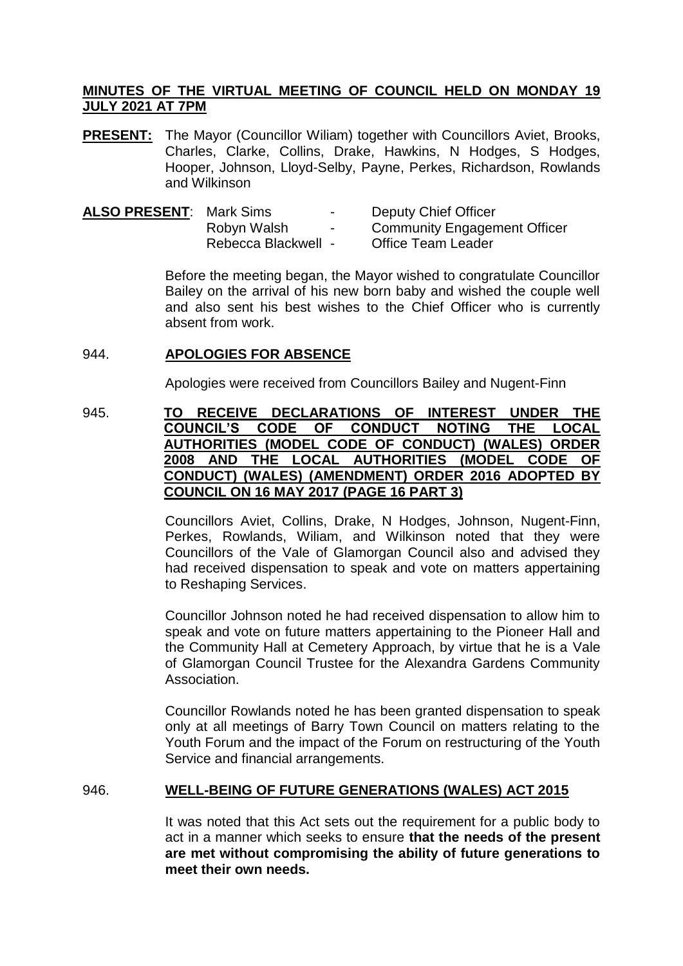# **MINUTES OF THE VIRTUAL MEETING OF COUNCIL HELD ON MONDAY 19 JULY 2021 AT 7PM**

**PRESENT:** The Mayor (Councillor Wiliam) together with Councillors Aviet, Brooks, Charles, Clarke, Collins, Drake, Hawkins, N Hodges, S Hodges, Hooper, Johnson, Lloyd-Selby, Payne, Perkes, Richardson, Rowlands and Wilkinson

| <b>ALSO PRESENT: Mark Sims</b> |                     | $\blacksquare$ | Deputy Chief Officer                |
|--------------------------------|---------------------|----------------|-------------------------------------|
|                                | Robyn Walsh         | $\sim$         | <b>Community Engagement Officer</b> |
|                                | Rebecca Blackwell - |                | Office Team Leader                  |

Before the meeting began, the Mayor wished to congratulate Councillor Bailey on the arrival of his new born baby and wished the couple well and also sent his best wishes to the Chief Officer who is currently absent from work.

# 944. **APOLOGIES FOR ABSENCE**

Apologies were received from Councillors Bailey and Nugent-Finn

# 945. **TO RECEIVE DECLARATIONS OF INTEREST UNDER THE COUNCIL'S CODE OF CONDUCT NOTING THE LOCAL AUTHORITIES (MODEL CODE OF CONDUCT) (WALES) ORDER 2008 AND THE LOCAL AUTHORITIES (MODEL CODE OF CONDUCT) (WALES) (AMENDMENT) ORDER 2016 ADOPTED BY COUNCIL ON 16 MAY 2017 (PAGE 16 PART 3)**

Councillors Aviet, Collins, Drake, N Hodges, Johnson, Nugent-Finn, Perkes, Rowlands, Wiliam, and Wilkinson noted that they were Councillors of the Vale of Glamorgan Council also and advised they had received dispensation to speak and vote on matters appertaining to Reshaping Services.

Councillor Johnson noted he had received dispensation to allow him to speak and vote on future matters appertaining to the Pioneer Hall and the Community Hall at Cemetery Approach, by virtue that he is a Vale of Glamorgan Council Trustee for the Alexandra Gardens Community Association.

Councillor Rowlands noted he has been granted dispensation to speak only at all meetings of Barry Town Council on matters relating to the Youth Forum and the impact of the Forum on restructuring of the Youth Service and financial arrangements.

# 946. **WELL-BEING OF FUTURE GENERATIONS (WALES) ACT 2015**

It was noted that this Act sets out the requirement for a public body to act in a manner which seeks to ensure **that the needs of the present are met without compromising the ability of future generations to meet their own needs.**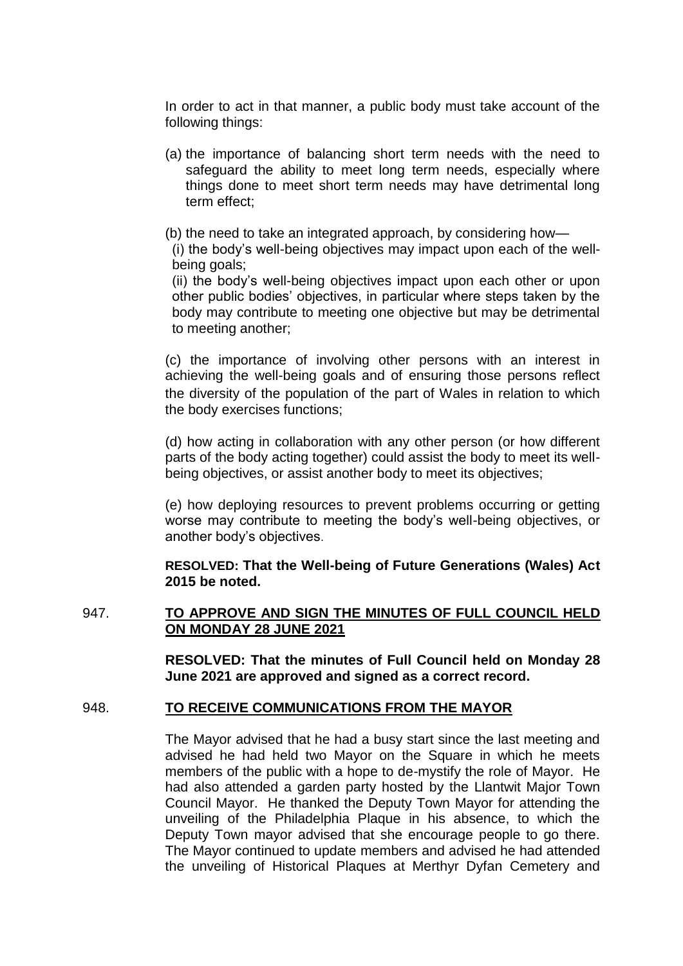In order to act in that manner, a public body must take account of the following things:

(a) the importance of balancing short term needs with the need to safequard the ability to meet long term needs, especially where things done to meet short term needs may have detrimental long term effect;

(b) the need to take an integrated approach, by considering how—

(i) the body's well-being objectives may impact upon each of the wellbeing goals;

(ii) the body's well-being objectives impact upon each other or upon other public bodies' objectives, in particular where steps taken by the body may contribute to meeting one objective but may be detrimental to meeting another;

(c) the importance of involving other persons with an interest in achieving the well-being goals and of ensuring those persons reflect the diversity of the population of the part of Wales in relation to which the body exercises functions;

(d) how acting in collaboration with any other person (or how different parts of the body acting together) could assist the body to meet its wellbeing objectives, or assist another body to meet its objectives;

(e) how deploying resources to prevent problems occurring or getting worse may contribute to meeting the body's well-being objectives, or another body's objectives.

**RESOLVED: That the Well-being of Future Generations (Wales) Act 2015 be noted.**

# 947. **TO APPROVE AND SIGN THE MINUTES OF FULL COUNCIL HELD ON MONDAY 28 JUNE 2021**

**RESOLVED: That the minutes of Full Council held on Monday 28 June 2021 are approved and signed as a correct record.** 

### 948. **TO RECEIVE COMMUNICATIONS FROM THE MAYOR**

The Mayor advised that he had a busy start since the last meeting and advised he had held two Mayor on the Square in which he meets members of the public with a hope to de-mystify the role of Mayor. He had also attended a garden party hosted by the Llantwit Major Town Council Mayor. He thanked the Deputy Town Mayor for attending the unveiling of the Philadelphia Plaque in his absence, to which the Deputy Town mayor advised that she encourage people to go there. The Mayor continued to update members and advised he had attended the unveiling of Historical Plaques at Merthyr Dyfan Cemetery and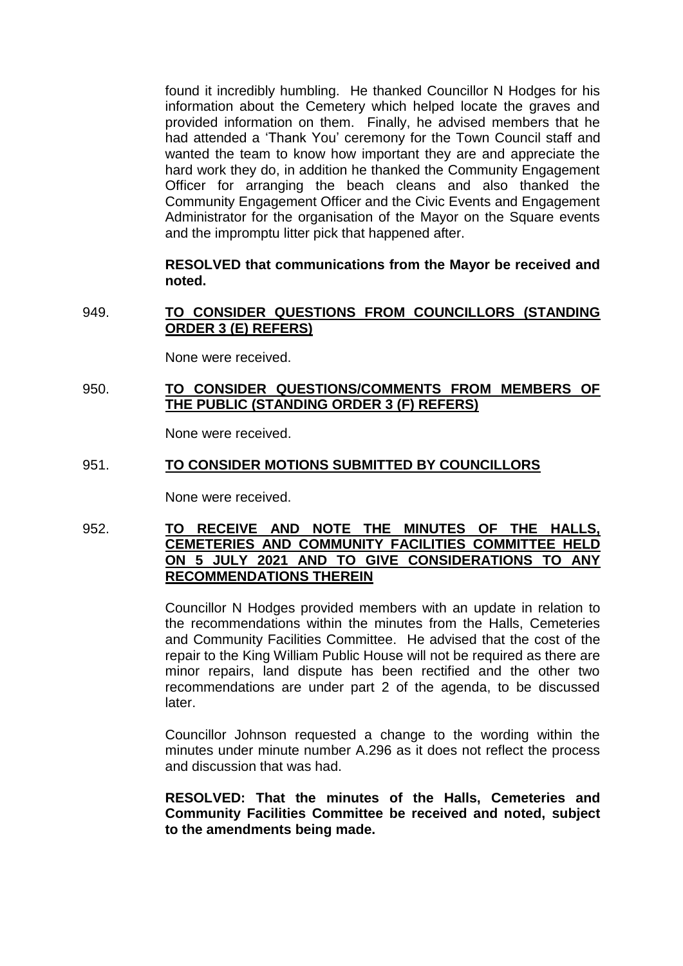found it incredibly humbling. He thanked Councillor N Hodges for his information about the Cemetery which helped locate the graves and provided information on them. Finally, he advised members that he had attended a 'Thank You' ceremony for the Town Council staff and wanted the team to know how important they are and appreciate the hard work they do, in addition he thanked the Community Engagement Officer for arranging the beach cleans and also thanked the Community Engagement Officer and the Civic Events and Engagement Administrator for the organisation of the Mayor on the Square events and the impromptu litter pick that happened after.

**RESOLVED that communications from the Mayor be received and noted.**

## 949. **TO CONSIDER QUESTIONS FROM COUNCILLORS (STANDING ORDER 3 (E) REFERS)**

None were received.

# 950. **TO CONSIDER QUESTIONS/COMMENTS FROM MEMBERS OF THE PUBLIC (STANDING ORDER 3 (F) REFERS)**

None were received.

### 951. **TO CONSIDER MOTIONS SUBMITTED BY COUNCILLORS**

None were received.

# 952. **TO RECEIVE AND NOTE THE MINUTES OF THE HALLS, CEMETERIES AND COMMUNITY FACILITIES COMMITTEE HELD ON 5 JULY 2021 AND TO GIVE CONSIDERATIONS TO ANY RECOMMENDATIONS THEREIN**

Councillor N Hodges provided members with an update in relation to the recommendations within the minutes from the Halls, Cemeteries and Community Facilities Committee. He advised that the cost of the repair to the King William Public House will not be required as there are minor repairs, land dispute has been rectified and the other two recommendations are under part 2 of the agenda, to be discussed later.

Councillor Johnson requested a change to the wording within the minutes under minute number A.296 as it does not reflect the process and discussion that was had.

**RESOLVED: That the minutes of the Halls, Cemeteries and Community Facilities Committee be received and noted, subject to the amendments being made.**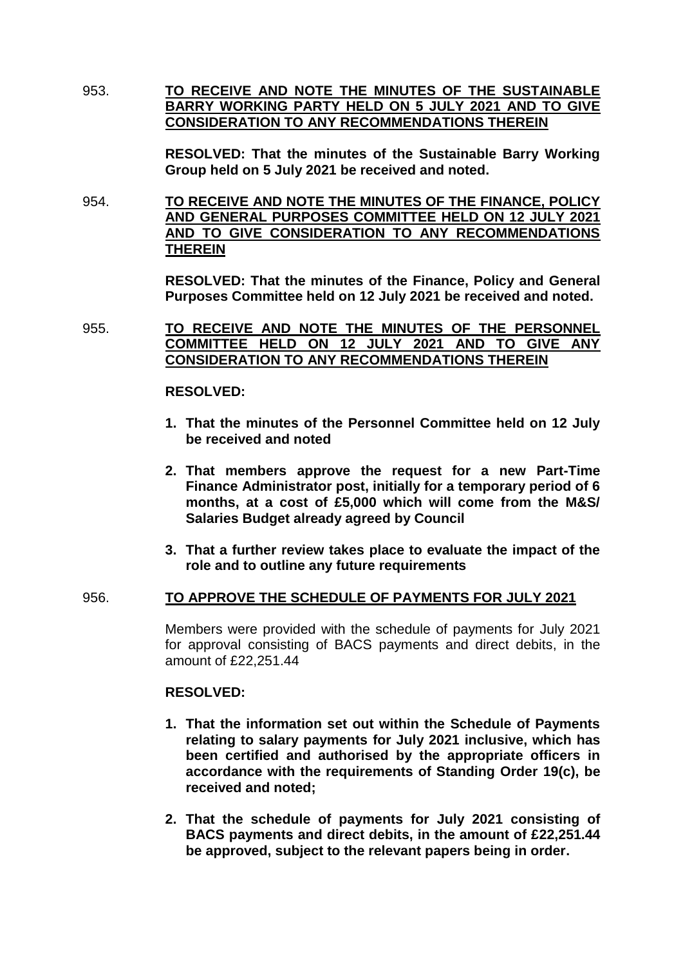953. **TO RECEIVE AND NOTE THE MINUTES OF THE SUSTAINABLE BARRY WORKING PARTY HELD ON 5 JULY 2021 AND TO GIVE CONSIDERATION TO ANY RECOMMENDATIONS THEREIN**

> **RESOLVED: That the minutes of the Sustainable Barry Working Group held on 5 July 2021 be received and noted.**

954. **TO RECEIVE AND NOTE THE MINUTES OF THE FINANCE, POLICY AND GENERAL PURPOSES COMMITTEE HELD ON 12 JULY 2021 AND TO GIVE CONSIDERATION TO ANY RECOMMENDATIONS THEREIN**

> **RESOLVED: That the minutes of the Finance, Policy and General Purposes Committee held on 12 July 2021 be received and noted.**

955. **TO RECEIVE AND NOTE THE MINUTES OF THE PERSONNEL COMMITTEE HELD ON 12 JULY 2021 AND TO GIVE ANY CONSIDERATION TO ANY RECOMMENDATIONS THEREIN** 

**RESOLVED:** 

- **1. That the minutes of the Personnel Committee held on 12 July be received and noted**
- **2. That members approve the request for a new Part-Time Finance Administrator post, initially for a temporary period of 6 months, at a cost of £5,000 which will come from the M&S/ Salaries Budget already agreed by Council**
- **3. That a further review takes place to evaluate the impact of the role and to outline any future requirements**

### 956. **TO APPROVE THE SCHEDULE OF PAYMENTS FOR JULY 2021**

Members were provided with the schedule of payments for July 2021 for approval consisting of BACS payments and direct debits, in the amount of £22,251.44

### **RESOLVED:**

- **1. That the information set out within the Schedule of Payments relating to salary payments for July 2021 inclusive, which has been certified and authorised by the appropriate officers in accordance with the requirements of Standing Order 19(c), be received and noted;**
- **2. That the schedule of payments for July 2021 consisting of BACS payments and direct debits, in the amount of £22,251.44 be approved, subject to the relevant papers being in order.**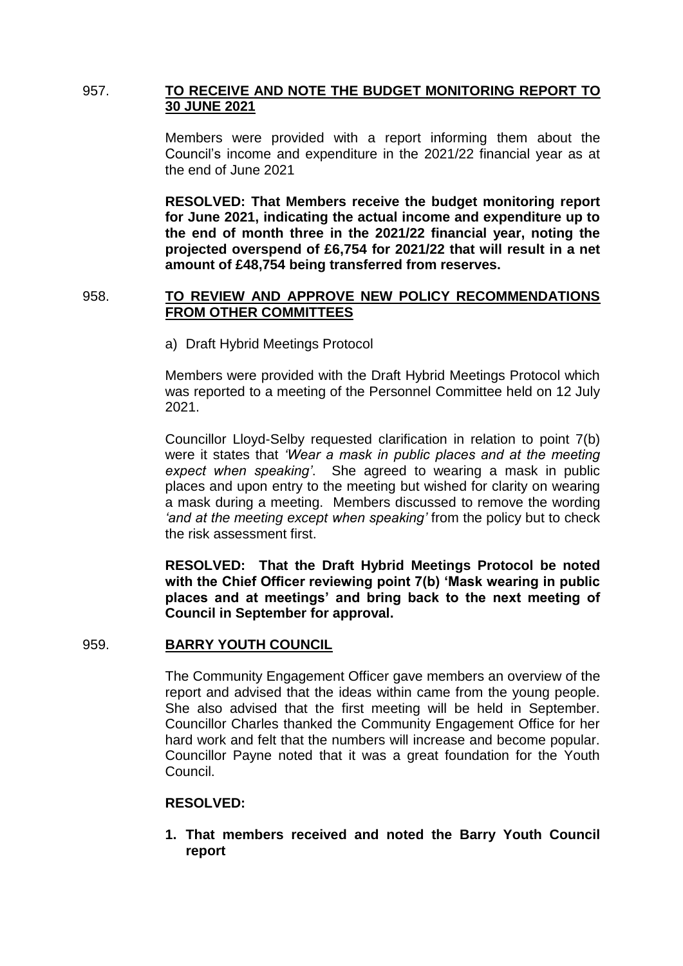# 957. **TO RECEIVE AND NOTE THE BUDGET MONITORING REPORT TO 30 JUNE 2021**

Members were provided with a report informing them about the Council's income and expenditure in the 2021/22 financial year as at the end of June 2021

**RESOLVED: That Members receive the budget monitoring report for June 2021, indicating the actual income and expenditure up to the end of month three in the 2021/22 financial year, noting the projected overspend of £6,754 for 2021/22 that will result in a net amount of £48,754 being transferred from reserves.** 

## 958. **TO REVIEW AND APPROVE NEW POLICY RECOMMENDATIONS FROM OTHER COMMITTEES**

a) Draft Hybrid Meetings Protocol

Members were provided with the Draft Hybrid Meetings Protocol which was reported to a meeting of the Personnel Committee held on 12 July 2021.

Councillor Lloyd-Selby requested clarification in relation to point 7(b) were it states that *'Wear a mask in public places and at the meeting expect when speaking'*. She agreed to wearing a mask in public places and upon entry to the meeting but wished for clarity on wearing a mask during a meeting. Members discussed to remove the wording *'and at the meeting except when speaking'* from the policy but to check the risk assessment first.

**RESOLVED: That the Draft Hybrid Meetings Protocol be noted with the Chief Officer reviewing point 7(b) 'Mask wearing in public places and at meetings' and bring back to the next meeting of Council in September for approval.**

### 959. **BARRY YOUTH COUNCIL**

The Community Engagement Officer gave members an overview of the report and advised that the ideas within came from the young people. She also advised that the first meeting will be held in September. Councillor Charles thanked the Community Engagement Office for her hard work and felt that the numbers will increase and become popular. Councillor Payne noted that it was a great foundation for the Youth Council.

### **RESOLVED:**

**1. That members received and noted the Barry Youth Council report**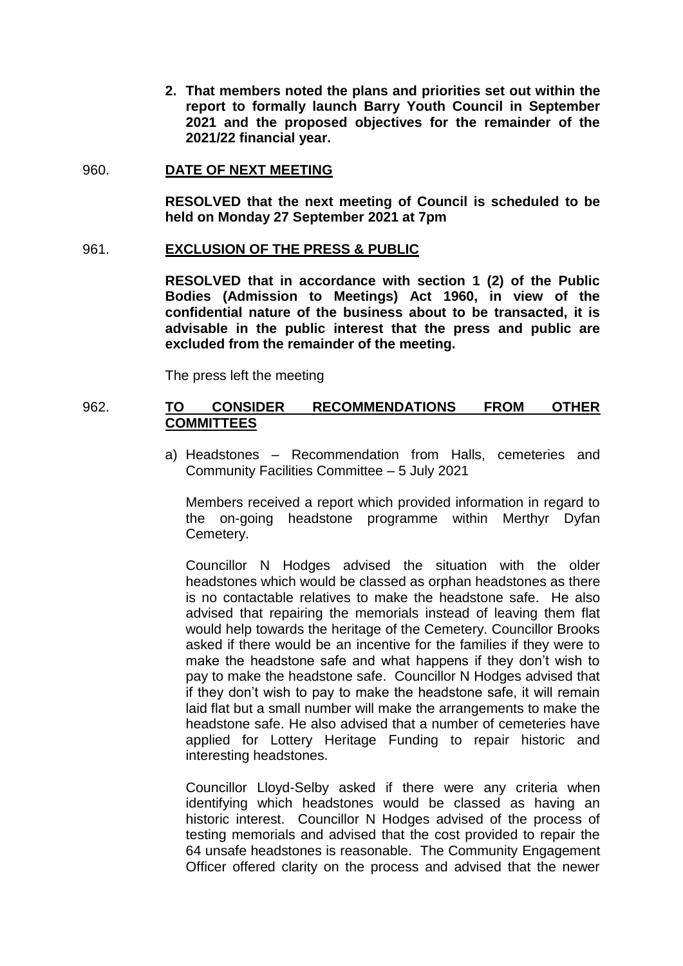**2. That members noted the plans and priorities set out within the report to formally launch Barry Youth Council in September 2021 and the proposed objectives for the remainder of the 2021/22 financial year.** 

### 960. **DATE OF NEXT MEETING**

**RESOLVED that the next meeting of Council is scheduled to be held on Monday 27 September 2021 at 7pm** 

#### 961. **EXCLUSION OF THE PRESS & PUBLIC**

**RESOLVED that in accordance with section 1 (2) of the Public Bodies (Admission to Meetings) Act 1960, in view of the confidential nature of the business about to be transacted, it is advisable in the public interest that the press and public are excluded from the remainder of the meeting.**

The press left the meeting

# 962. **TO CONSIDER RECOMMENDATIONS FROM OTHER COMMITTEES**

a) Headstones – Recommendation from Halls, cemeteries and Community Facilities Committee – 5 July 2021

Members received a report which provided information in regard to the on-going headstone programme within Merthyr Dyfan Cemetery.

Councillor N Hodges advised the situation with the older headstones which would be classed as orphan headstones as there is no contactable relatives to make the headstone safe. He also advised that repairing the memorials instead of leaving them flat would help towards the heritage of the Cemetery. Councillor Brooks asked if there would be an incentive for the families if they were to make the headstone safe and what happens if they don't wish to pay to make the headstone safe. Councillor N Hodges advised that if they don't wish to pay to make the headstone safe, it will remain laid flat but a small number will make the arrangements to make the headstone safe. He also advised that a number of cemeteries have applied for Lottery Heritage Funding to repair historic and interesting headstones.

Councillor Lloyd-Selby asked if there were any criteria when identifying which headstones would be classed as having an historic interest. Councillor N Hodges advised of the process of testing memorials and advised that the cost provided to repair the 64 unsafe headstones is reasonable. The Community Engagement Officer offered clarity on the process and advised that the newer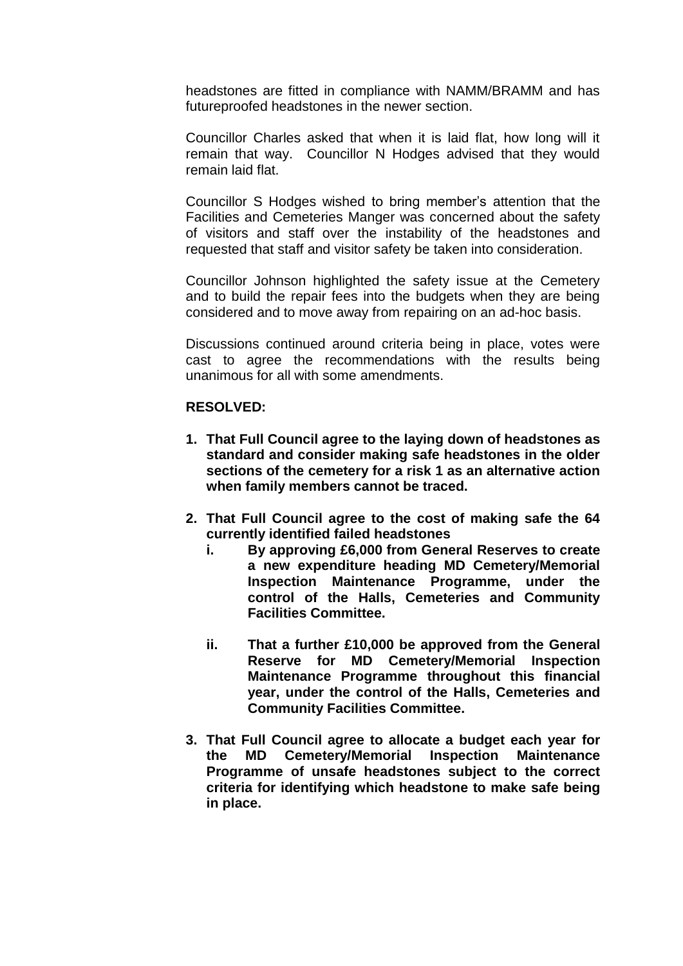headstones are fitted in compliance with NAMM/BRAMM and has futureproofed headstones in the newer section.

Councillor Charles asked that when it is laid flat, how long will it remain that way. Councillor N Hodges advised that they would remain laid flat.

Councillor S Hodges wished to bring member's attention that the Facilities and Cemeteries Manger was concerned about the safety of visitors and staff over the instability of the headstones and requested that staff and visitor safety be taken into consideration.

Councillor Johnson highlighted the safety issue at the Cemetery and to build the repair fees into the budgets when they are being considered and to move away from repairing on an ad-hoc basis.

Discussions continued around criteria being in place, votes were cast to agree the recommendations with the results being unanimous for all with some amendments.

### **RESOLVED:**

- **1. That Full Council agree to the laying down of headstones as standard and consider making safe headstones in the older sections of the cemetery for a risk 1 as an alternative action when family members cannot be traced.**
- **2. That Full Council agree to the cost of making safe the 64 currently identified failed headstones** 
	- **i. By approving £6,000 from General Reserves to create a new expenditure heading MD Cemetery/Memorial Inspection Maintenance Programme, under the control of the Halls, Cemeteries and Community Facilities Committee.**
	- **ii. That a further £10,000 be approved from the General Reserve for MD Cemetery/Memorial Inspection Maintenance Programme throughout this financial year, under the control of the Halls, Cemeteries and Community Facilities Committee.**
- **3. That Full Council agree to allocate a budget each year for the MD Cemetery/Memorial Inspection Maintenance Programme of unsafe headstones subject to the correct criteria for identifying which headstone to make safe being in place.**